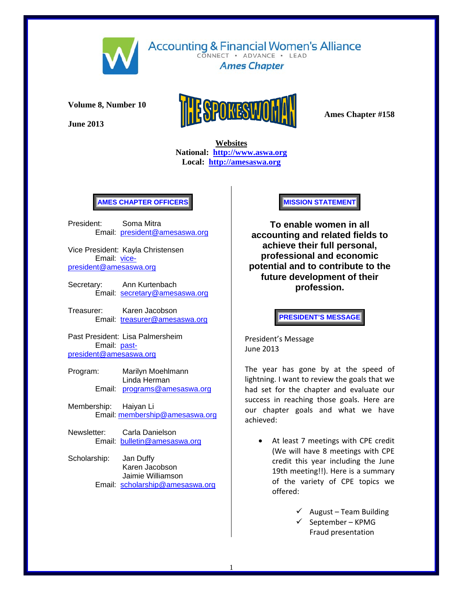

**Accounting & Financial Women's Alliance** CONNECT . ADVANCE . LEAD

**Ames Chapter** 

**Volume 8, Number 10** 

**June 2013** 



 **Websites National: http://www.aswa.org Local: http://amesaswa.org**

# **AMES CHAPTER OFFICERS**

President: Soma Mitra Email: president@amesaswa.org

Vice President: Kayla Christensen Email: vicepresident@amesaswa.org

- Secretary: Ann Kurtenbach Email: secretary@amesaswa.org
- Treasurer: Karen Jacobson Email: treasurer@amesaswa.org

Past President: Lisa Palmersheim Email: pastpresident@amesaswa.org

- Program: Marilyn Moehlmann Linda Herman Email: programs@amesaswa.org
- Membership: Haiyan Li Email: membership@amesaswa.org
- Newsletter: Carla Danielson Email: bulletin@amesaswa.org
- Scholarship: Jan Duffy Karen Jacobson Jaimie Williamson Email: scholarship@amesaswa.org

**MISSION STATEMENT** 

**To enable women in all accounting and related fields to achieve their full personal, professional and economic potential and to contribute to the future development of their profession.**

**PRESIDENT'S MESSAGE** 

President's Message June 2013

The year has gone by at the speed of lightning. I want to review the goals that we had set for the chapter and evaluate our success in reaching those goals. Here are our chapter goals and what we have achieved:

- At least 7 meetings with CPE credit (We will have 8 meetings with CPE credit this year including the June 19th meeting!!). Here is a summary of the variety of CPE topics we offered:
	- $\angle$  August Team Building
	- $\checkmark$  September KPMG Fraud presentation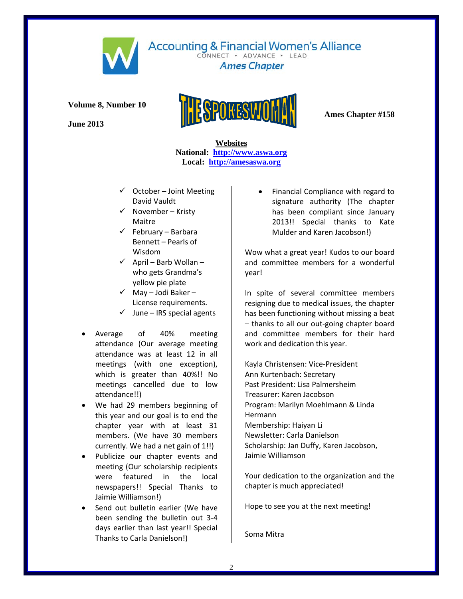

CONNECT . ADVANCE . LEAD **Ames Chapter** 

**Volume 8, Number 10** 

**June 2013** 



 **Websites National: http://www.aswa.org Local: http://amesaswa.org**

- $\checkmark$  October Joint Meeting David Vauldt
- $\checkmark$  November Kristy Maitre
- $\checkmark$  February Barbara Bennett – Pearls of Wisdom
- $\checkmark$  April Barb Wollan who gets Grandma's yellow pie plate
- $\checkmark$  May Jodi Baker License requirements.
- $\checkmark$  June IRS special agents
- Average of 40% meeting attendance (Our average meeting attendance was at least 12 in all meetings (with one exception), which is greater than 40%!! No meetings cancelled due to low attendance!!)
- We had 29 members beginning of this year and our goal is to end the chapter year with at least 31 members. (We have 30 members currently. We had a net gain of 1!!)
- Publicize our chapter events and meeting (Our scholarship recipients were featured in the local newspapers!! Special Thanks to Jaimie Williamson!)
- Send out bulletin earlier (We have been sending the bulletin out 3‐4 days earlier than last year!! Special Thanks to Carla Danielson!)

 Financial Compliance with regard to signature authority (The chapter has been compliant since January 2013!! Special thanks to Kate Mulder and Karen Jacobson!)

Wow what a great year! Kudos to our board and committee members for a wonderful year!

In spite of several committee members resigning due to medical issues, the chapter has been functioning without missing a beat – thanks to all our out‐going chapter board and committee members for their hard work and dedication this year.

Kayla Christensen: Vice‐President Ann Kurtenbach: Secretary Past President: Lisa Palmersheim Treasurer: Karen Jacobson Program: Marilyn Moehlmann & Linda Hermann Membership: Haiyan Li Newsletter: Carla Danielson Scholarship: Jan Duffy, Karen Jacobson, Jaimie Williamson

Your dedication to the organization and the chapter is much appreciated!

Hope to see you at the next meeting!

Soma Mitra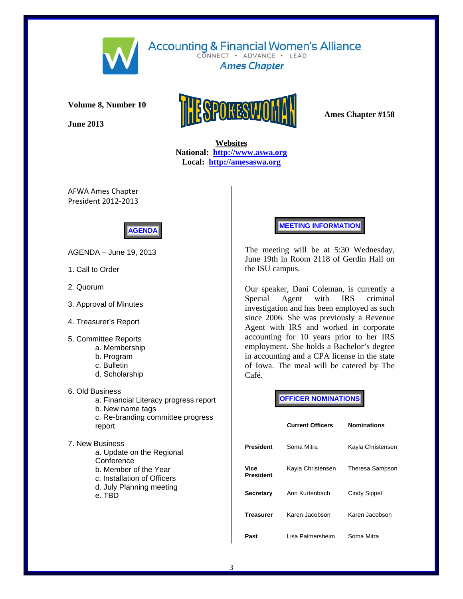

**Accounting & Financial Women's Alliance** CONNECT . ADVANCE . LEAD

**Ames Chapter** 

**Volume 8, Number 10** 

**June 2013** 



 **Websites National: http://www.aswa.org Local: http://amesaswa.org**

AFWA Ames Chapter President 2012‐2013



AGENDA – June 19, 2013

- 1. Call to Order
- 2. Quorum
- 3. Approval of Minutes
- 4. Treasurer's Report
- 5. Committee Reports
	- a. Membership
	- b. Program
	- c. Bulletin
	- d. Scholarship
- 6. Old Business
	- a. Financial Literacy progress report
	- b. New name tags
	- c. Re-branding committee progress report

7. New Business a. Update on the Regional **Conference**  b. Member of the Year c. Installation of Officers d. July Planning meeting

e. TBD

**MEETING INFORMATION** 

The meeting will be at 5:30 Wednesday, June 19th in Room 2118 of Gerdin Hall on the ISU campus.

Our speaker, Dani Coleman, is currently a Special Agent with IRS criminal investigation and has been employed as such since 2006. She was previously a Revenue Agent with IRS and worked in corporate accounting for 10 years prior to her IRS employment. She holds a Bachelor's degree in accounting and a CPA license in the state of Iowa. The meal will be catered by The Café.

**OFFICER NOMINATIONS** 

|                   | <b>Current Officers</b> | <b>Nominations</b> |  |
|-------------------|-------------------------|--------------------|--|
| President         | Soma Mitra              | Kayla Christensen  |  |
| Vice<br>President | Kayla Christensen       | Theresa Sampson    |  |
| Secretary         | Ann Kurtenbach          | Cindy Sippel       |  |
| Treasurer         | Karen Jacobson          | Karen Jacobson     |  |
| Past              | I isa Palmersheim       | Soma Mitra         |  |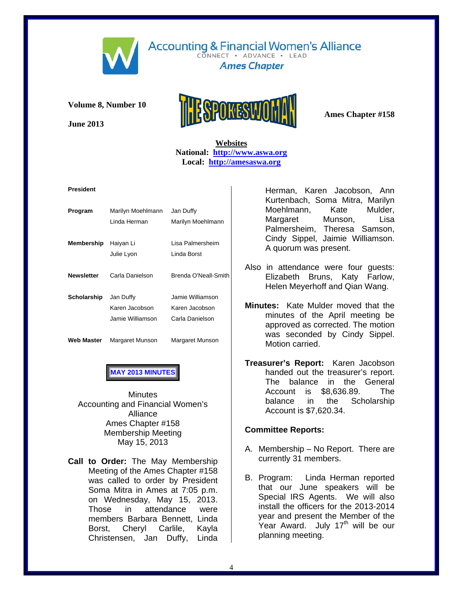

CONNECT . ADVANCE . LEAD **Ames Chapter** 

**Volume 8, Number 10** 

**June 2013** 



# **Websites National: http://www.aswa.org Local: http://amesaswa.org**

#### **President**

| Program           | Marilyn Moehlmann<br>Linda Herman               | Jan Duffy<br>Marilyn Moehlmann                        |
|-------------------|-------------------------------------------------|-------------------------------------------------------|
| Membership        | Haiyan Li<br>Julie Lyon                         | Lisa Palmersheim<br>Linda Borst                       |
| <b>Newsletter</b> | Carla Danielson                                 | Brenda O'Neall-Smith                                  |
| Scholarship       | Jan Duffy<br>Karen Jacobson<br>Jamie Williamson | Jamie Williamson<br>Karen Jacobson<br>Carla Danielson |
| Web Master        | Margaret Munson                                 | Margaret Munson                                       |

# **MAY 2013 MINUTES**

**Minutes** Accounting and Financial Women's Alliance Ames Chapter #158 Membership Meeting May 15, 2013

**Call to Order:** The May Membership Meeting of the Ames Chapter #158 was called to order by President Soma Mitra in Ames at 7:05 p.m. on Wednesday, May 15, 2013. Those in attendance were members Barbara Bennett, Linda Borst, Cheryl Carlile, Kayla Christensen, Jan Duffy, Linda

Herman, Karen Jacobson, Ann Kurtenbach, Soma Mitra, Marilyn Moehlmann, Kate Mulder, Margaret Munson, Lisa Palmersheim, Theresa Samson, Cindy Sippel, Jaimie Williamson. A quorum was present.

- Also in attendance were four quests: Elizabeth Bruns, Katy Farlow, Helen Meyerhoff and Qian Wang.
- **Minutes:** Kate Mulder moved that the minutes of the April meeting be approved as corrected. The motion was seconded by Cindy Sippel. Motion carried.
- **Treasurer's Report:** Karen Jacobson handed out the treasurer's report. The balance in the General Account is \$8,636.89. The balance in the Scholarship Account is \$7,620.34.

### **Committee Reports:**

- A. Membership No Report. There are currently 31 members.
- B. Program: Linda Herman reported that our June speakers will be Special IRS Agents. We will also install the officers for the 2013-2014 year and present the Member of the Year Award. July  $17<sup>th</sup>$  will be our planning meeting.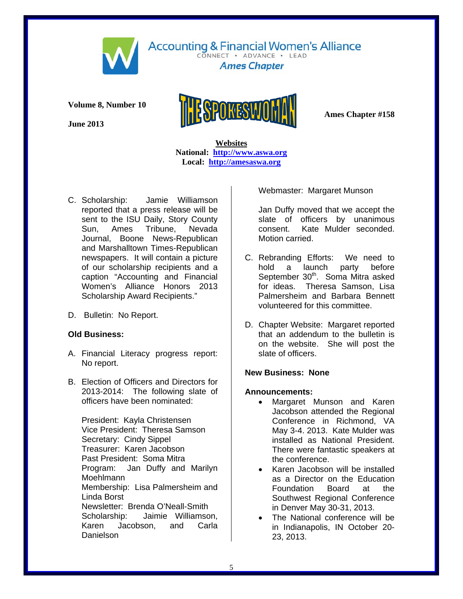

CONNECT . ADVANCE . LEAD **Ames Chapter** 

**Volume 8, Number 10** 

**June 2013** 



 **Websites National: http://www.aswa.org Local: http://amesaswa.org**

- C. Scholarship: Jamie Williamson reported that a press release will be sent to the ISU Daily, Story County Sun, Ames Tribune, Nevada Journal, Boone News-Republican and Marshalltown Times-Republican newspapers. It will contain a picture of our scholarship recipients and a caption "Accounting and Financial Women's Alliance Honors 2013 Scholarship Award Recipients."
- D. Bulletin: No Report.

# **Old Business:**

- A. Financial Literacy progress report: No report.
- B. Election of Officers and Directors for 2013-2014: The following slate of officers have been nominated:

President: Kayla Christensen Vice President: Theresa Samson Secretary: Cindy Sippel Treasurer: Karen Jacobson Past President: Soma Mitra Program: Jan Duffy and Marilyn Moehlmann Membership: Lisa Palmersheim and Linda Borst Newsletter: Brenda O'Neall-Smith Scholarship: Jaimie Williamson, Karen Jacobson, and Carla Danielson

Webmaster: Margaret Munson

Jan Duffy moved that we accept the slate of officers by unanimous consent. Kate Mulder seconded. Motion carried.

- C. Rebranding Efforts: We need to hold a launch party before September 30<sup>th</sup>. Soma Mitra asked for ideas. Theresa Samson, Lisa Palmersheim and Barbara Bennett volunteered for this committee.
- D. Chapter Website: Margaret reported that an addendum to the bulletin is on the website. She will post the slate of officers.

# **New Business: None**

# **Announcements:**

- Margaret Munson and Karen Jacobson attended the Regional Conference in Richmond, VA May 3-4. 2013. Kate Mulder was installed as National President. There were fantastic speakers at the conference.
- Karen Jacobson will be installed as a Director on the Education<br>Foundation Board at the Foundation Board at the Southwest Regional Conference in Denver May 30-31, 2013.
- The National conference will be in Indianapolis, IN October 20- 23, 2013.